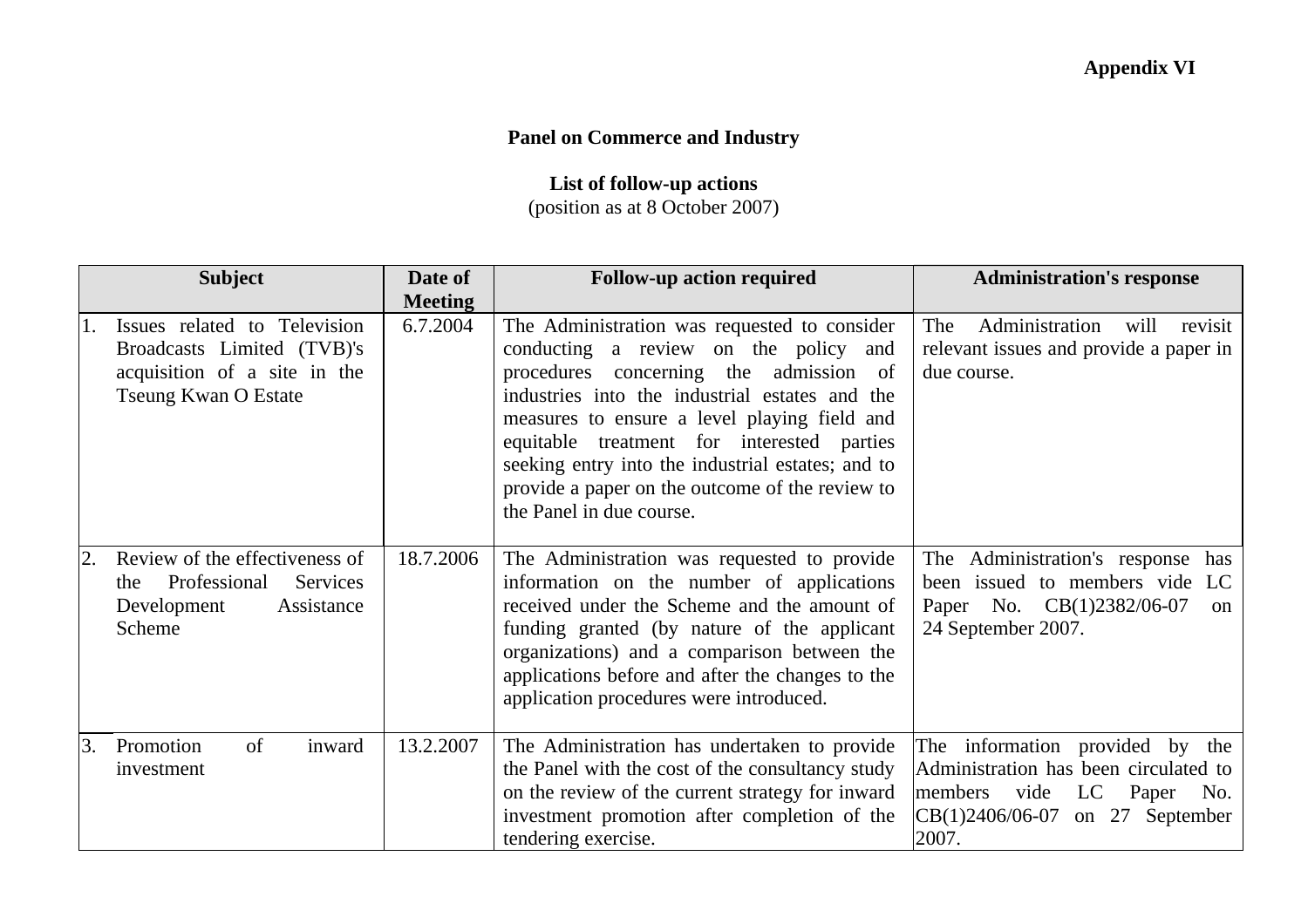## **Panel on Commerce and Industry**

## **List of follow-up actions**

(position as at 8 October 2007)

|    | <b>Subject</b>                                                                                                            | Date of        | <b>Follow-up action required</b>                                                                                                                                                                                                                                                                                                                                                                                    | <b>Administration's response</b>                                                                                                                           |
|----|---------------------------------------------------------------------------------------------------------------------------|----------------|---------------------------------------------------------------------------------------------------------------------------------------------------------------------------------------------------------------------------------------------------------------------------------------------------------------------------------------------------------------------------------------------------------------------|------------------------------------------------------------------------------------------------------------------------------------------------------------|
|    |                                                                                                                           | <b>Meeting</b> |                                                                                                                                                                                                                                                                                                                                                                                                                     |                                                                                                                                                            |
|    | Issues related to Television<br>Broadcasts Limited (TVB)'s<br>acquisition of a site in the<br><b>Tseung Kwan O Estate</b> | 6.7.2004       | The Administration was requested to consider<br>conducting a review on the policy and<br>procedures concerning the admission of<br>industries into the industrial estates and the<br>measures to ensure a level playing field and<br>equitable treatment for interested parties<br>seeking entry into the industrial estates; and to<br>provide a paper on the outcome of the review to<br>the Panel in due course. | Administration<br>The<br>will<br>revisit<br>relevant issues and provide a paper in<br>due course.                                                          |
|    | Review of the effectiveness of<br>Professional<br>Services<br>the<br>Development<br>Assistance<br>Scheme                  | 18.7.2006      | The Administration was requested to provide<br>information on the number of applications<br>received under the Scheme and the amount of<br>funding granted (by nature of the applicant<br>organizations) and a comparison between the<br>applications before and after the changes to the<br>application procedures were introduced.                                                                                | The Administration's response<br>has<br>been issued to members vide<br>LC.<br>Paper No. CB(1)2382/06-07<br><sub>on</sub><br>24 September 2007.             |
| 3. | of<br>Promotion<br>inward<br>investment                                                                                   | 13.2.2007      | The Administration has undertaken to provide<br>the Panel with the cost of the consultancy study<br>on the review of the current strategy for inward<br>investment promotion after completion of the<br>tendering exercise.                                                                                                                                                                                         | The information provided by the<br>Administration has been circulated to<br>vide<br>LC Paper<br>members<br>No.<br>CB(1)2406/06-07 on 27 September<br>2007. |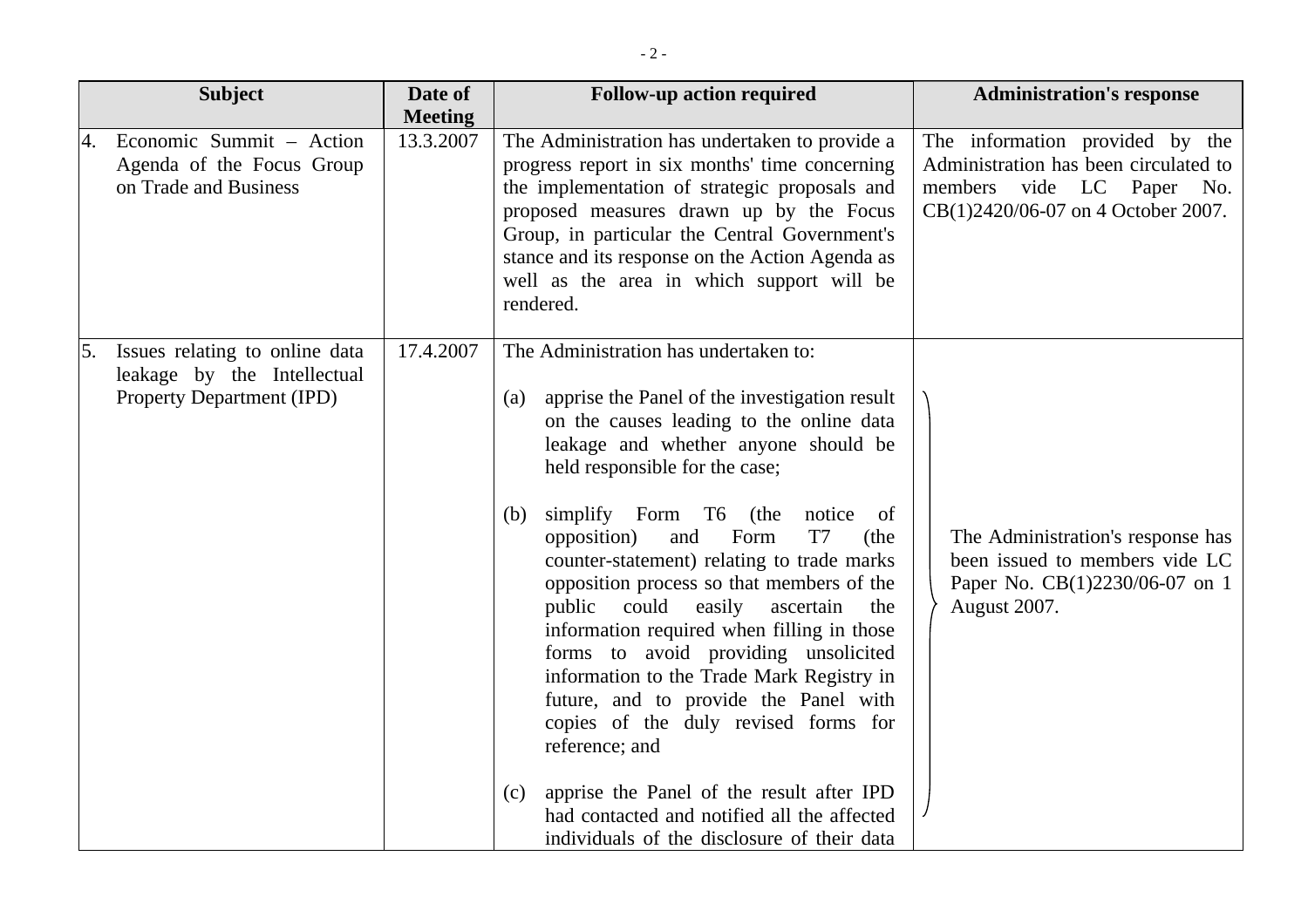| <b>Subject</b>                         |                                                               | Date of<br><b>Meeting</b> | <b>Follow-up action required</b>                                                                                                                                                                                                                                                                                                                                                                                                                                                                                                                                                                                                                                                                                                                                                                                                                             | <b>Administration's response</b>                                                                                                            |
|----------------------------------------|---------------------------------------------------------------|---------------------------|--------------------------------------------------------------------------------------------------------------------------------------------------------------------------------------------------------------------------------------------------------------------------------------------------------------------------------------------------------------------------------------------------------------------------------------------------------------------------------------------------------------------------------------------------------------------------------------------------------------------------------------------------------------------------------------------------------------------------------------------------------------------------------------------------------------------------------------------------------------|---------------------------------------------------------------------------------------------------------------------------------------------|
| on Trade and Business                  | Economic Summit - Action<br>Agenda of the Focus Group         | 13.3.2007                 | The Administration has undertaken to provide a<br>progress report in six months' time concerning<br>the implementation of strategic proposals and<br>proposed measures drawn up by the Focus<br>Group, in particular the Central Government's<br>stance and its response on the Action Agenda as<br>well as the area in which support will be<br>rendered.                                                                                                                                                                                                                                                                                                                                                                                                                                                                                                   | The information provided by the<br>Administration has been circulated to<br>members vide LC Paper No.<br>CB(1)2420/06-07 on 4 October 2007. |
| 5.<br><b>Property Department (IPD)</b> | Issues relating to online data<br>leakage by the Intellectual | 17.4.2007                 | The Administration has undertaken to:<br>apprise the Panel of the investigation result<br>(a)<br>on the causes leading to the online data<br>leakage and whether anyone should be<br>held responsible for the case;<br>simplify Form T6 (the<br>notice<br>of<br>(b)<br>opposition)<br>Form<br>T <sub>7</sub><br>(the<br>and<br>counter-statement) relating to trade marks<br>opposition process so that members of the<br>public could<br>easily<br>the<br>ascertain<br>information required when filling in those<br>forms to avoid providing unsolicited<br>information to the Trade Mark Registry in<br>future, and to provide the Panel with<br>copies of the duly revised forms for<br>reference; and<br>apprise the Panel of the result after IPD<br>(c)<br>had contacted and notified all the affected<br>individuals of the disclosure of their data | The Administration's response has<br>been issued to members vide LC<br>Paper No. CB(1)2230/06-07 on 1<br>August 2007.                       |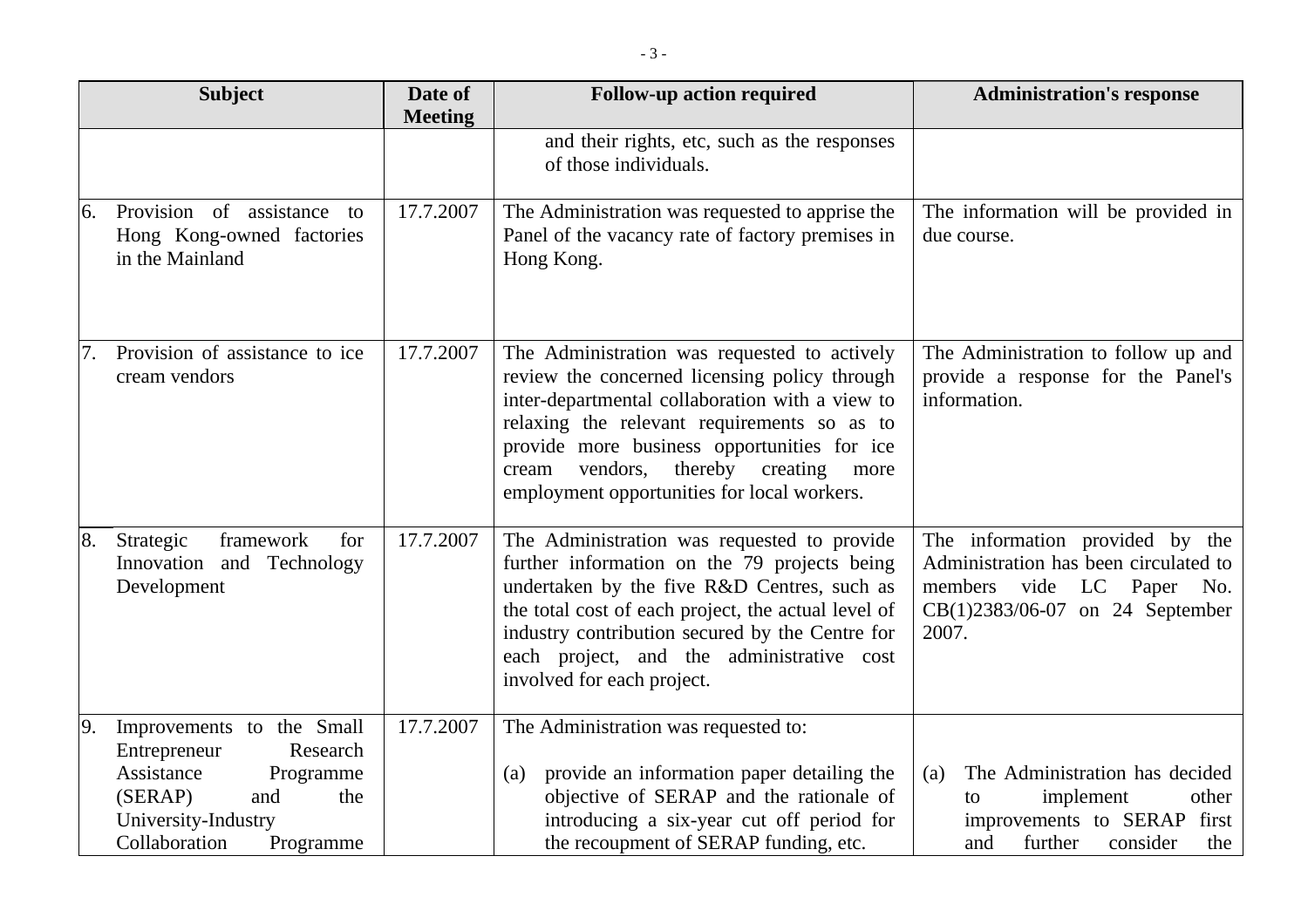|     | <b>Subject</b>                                                                                                                                                 | Date of<br><b>Meeting</b> | <b>Follow-up action required</b>                                                                                                                                                                                                                                                                                                               | <b>Administration's response</b>                                                                                                                  |
|-----|----------------------------------------------------------------------------------------------------------------------------------------------------------------|---------------------------|------------------------------------------------------------------------------------------------------------------------------------------------------------------------------------------------------------------------------------------------------------------------------------------------------------------------------------------------|---------------------------------------------------------------------------------------------------------------------------------------------------|
|     |                                                                                                                                                                |                           | and their rights, etc, such as the responses<br>of those individuals.                                                                                                                                                                                                                                                                          |                                                                                                                                                   |
| 6.  | Provision of assistance to<br>Hong Kong-owned factories<br>in the Mainland                                                                                     | 17.7.2007                 | The Administration was requested to apprise the<br>Panel of the vacancy rate of factory premises in<br>Hong Kong.                                                                                                                                                                                                                              | The information will be provided in<br>due course.                                                                                                |
| 17. | Provision of assistance to ice<br>cream vendors                                                                                                                | 17.7.2007                 | The Administration was requested to actively<br>review the concerned licensing policy through<br>inter-departmental collaboration with a view to<br>relaxing the relevant requirements so as to<br>provide more business opportunities for ice<br>vendors,<br>thereby creating<br>cream<br>more<br>employment opportunities for local workers. | The Administration to follow up and<br>provide a response for the Panel's<br>information.                                                         |
| 8.  | framework<br>for<br>Strategic<br>Innovation and Technology<br>Development                                                                                      | 17.7.2007                 | The Administration was requested to provide<br>further information on the 79 projects being<br>undertaken by the five R&D Centres, such as<br>the total cost of each project, the actual level of<br>industry contribution secured by the Centre for<br>each project, and the administrative cost<br>involved for each project.                | The information provided by the<br>Administration has been circulated to<br>members vide LC Paper No.<br>CB(1)2383/06-07 on 24 September<br>2007. |
| 9.  | Improvements to the Small<br>Entrepreneur<br>Research<br>Assistance<br>Programme<br>(SERAP)<br>and<br>the<br>University-Industry<br>Collaboration<br>Programme | 17.7.2007                 | The Administration was requested to:<br>provide an information paper detailing the<br>(a)<br>objective of SERAP and the rationale of<br>introducing a six-year cut off period for<br>the recoupment of SERAP funding, etc.                                                                                                                     | The Administration has decided<br>(a)<br>implement<br>other<br>to<br>first<br>improvements to SERAP<br>and<br>further<br>consider<br>the          |